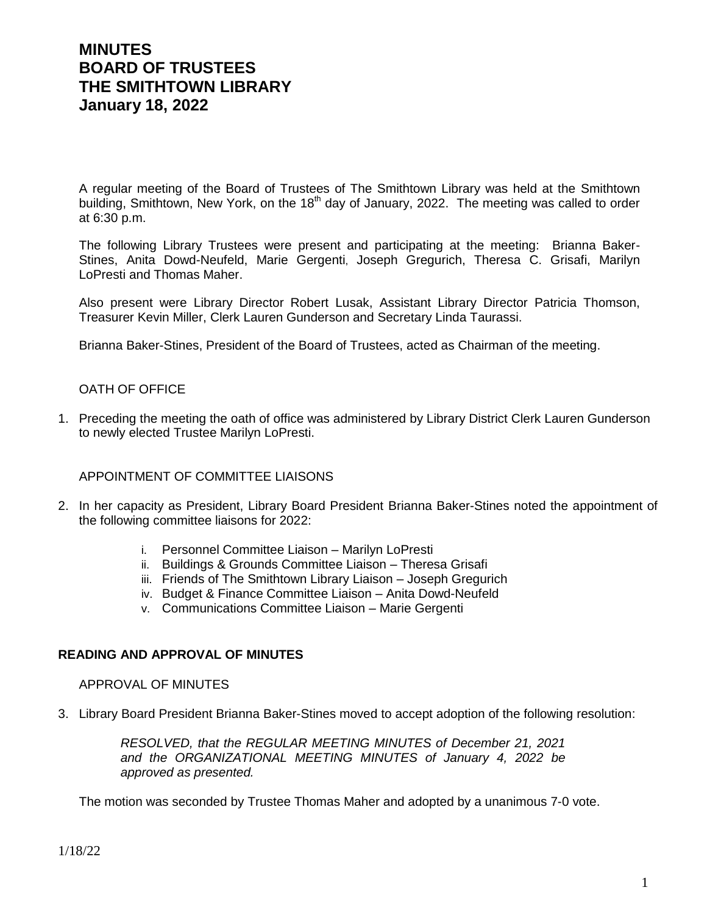# **MINUTES BOARD OF TRUSTEES THE SMITHTOWN LIBRARY January 18, 2022**

A regular meeting of the Board of Trustees of The Smithtown Library was held at the Smithtown building, Smithtown, New York, on the 18<sup>th</sup> day of January, 2022. The meeting was called to order at 6:30 p.m.

The following Library Trustees were present and participating at the meeting: Brianna Baker-Stines, Anita Dowd-Neufeld, Marie Gergenti, Joseph Gregurich, Theresa C. Grisafi, Marilyn LoPresti and Thomas Maher.

Also present were Library Director Robert Lusak, Assistant Library Director Patricia Thomson, Treasurer Kevin Miller, Clerk Lauren Gunderson and Secretary Linda Taurassi.

Brianna Baker-Stines, President of the Board of Trustees, acted as Chairman of the meeting.

## OATH OF OFFICE

1. Preceding the meeting the oath of office was administered by Library District Clerk Lauren Gunderson to newly elected Trustee Marilyn LoPresti.

## APPOINTMENT OF COMMITTEE LIAISONS

- 2. In her capacity as President, Library Board President Brianna Baker-Stines noted the appointment of the following committee liaisons for 2022:
	- i. Personnel Committee Liaison Marilyn LoPresti
	- ii. Buildings & Grounds Committee Liaison Theresa Grisafi
	- iii. Friends of The Smithtown Library Liaison Joseph Gregurich
	- iv. Budget & Finance Committee Liaison Anita Dowd-Neufeld
	- v. Communications Committee Liaison Marie Gergenti

## **READING AND APPROVAL OF MINUTES**

APPROVAL OF MINUTES

3. Library Board President Brianna Baker-Stines moved to accept adoption of the following resolution:

*RESOLVED, that the REGULAR MEETING MINUTES of December 21, 2021 and the ORGANIZATIONAL MEETING MINUTES of January 4, 2022 be approved as presented.*

The motion was seconded by Trustee Thomas Maher and adopted by a unanimous 7-0 vote.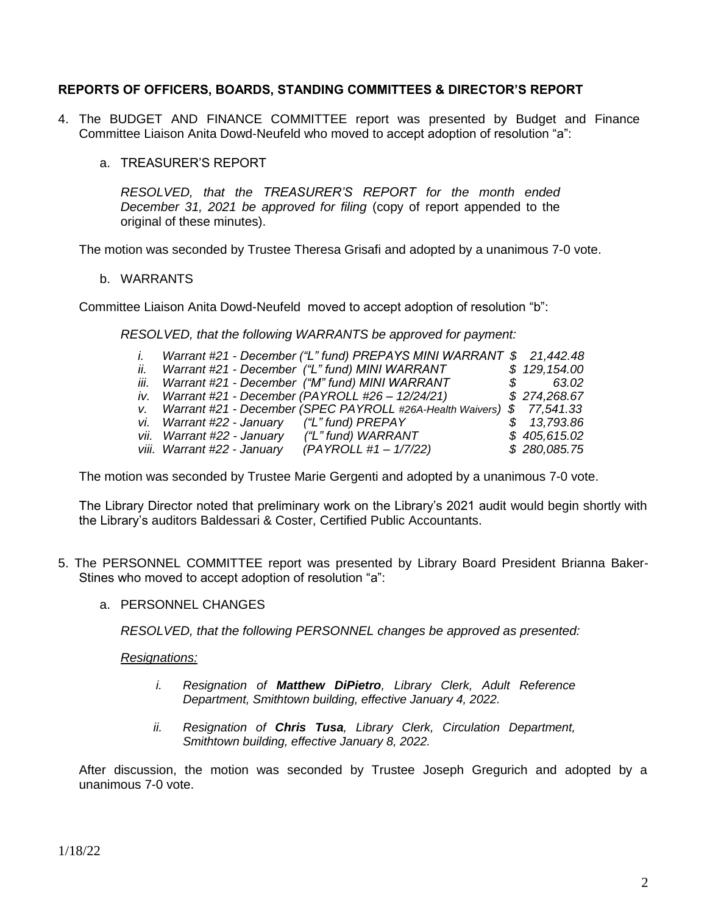## **REPORTS OF OFFICERS, BOARDS, STANDING COMMITTEES & DIRECTOR'S REPORT**

4. The BUDGET AND FINANCE COMMITTEE report was presented by Budget and Finance Committee Liaison Anita Dowd-Neufeld who moved to accept adoption of resolution "a":

#### a. TREASURER'S REPORT

*RESOLVED, that the TREASURER'S REPORT for the month ended December 31, 2021 be approved for filing* (copy of report appended to the original of these minutes).

The motion was seconded by Trustee Theresa Grisafi and adopted by a unanimous 7-0 vote.

b. WARRANTS

Committee Liaison Anita Dowd-Neufeld moved to accept adoption of resolution "b":

*RESOLVED, that the following WARRANTS be approved for payment:*

| İ.   |                                                    | Warrant #21 - December ("L" fund) PREPAYS MINI WARRANT \$ 21,442.48 |    |              |
|------|----------------------------------------------------|---------------------------------------------------------------------|----|--------------|
| ii.  | Warrant #21 - December ("L" fund) MINI WARRANT     |                                                                     |    | \$129,154.00 |
| iii. | Warrant #21 - December ("M" fund) MINI WARRANT     |                                                                     | S. | 63.02        |
| İV.  | Warrant #21 - December (PAYROLL #26 - $12/24/21$ ) |                                                                     |    | \$274,268.67 |
| V.   |                                                    | Warrant #21 - December (SPEC PAYROLL #26A-Health Waivers) \$        |    | 77,541.33    |
|      | vi. Warrant #22 - January ("L" fund) PREPAY        |                                                                     |    | \$13,793.86  |
|      | vii. Warrant #22 - January                         | ("L" fund) WARRANT                                                  |    | \$405,615.02 |
|      | viii. Warrant #22 - January                        | (PAYROLL #1 - 1/7/22)                                               |    | \$280,085.75 |

The motion was seconded by Trustee Marie Gergenti and adopted by a unanimous 7-0 vote.

The Library Director noted that preliminary work on the Library's 2021 audit would begin shortly with the Library's auditors Baldessari & Coster, Certified Public Accountants.

- 5. The PERSONNEL COMMITTEE report was presented by Library Board President Brianna Baker-Stines who moved to accept adoption of resolution "a":
	- a. PERSONNEL CHANGES

*RESOLVED, that the following PERSONNEL changes be approved as presented:*

*Resignations:*

- *i. Resignation of Matthew DiPietro, Library Clerk, Adult Reference Department, Smithtown building, effective January 4, 2022.*
- *ii. Resignation of Chris Tusa, Library Clerk, Circulation Department, Smithtown building, effective January 8, 2022.*

After discussion, the motion was seconded by Trustee Joseph Gregurich and adopted by a unanimous 7-0 vote.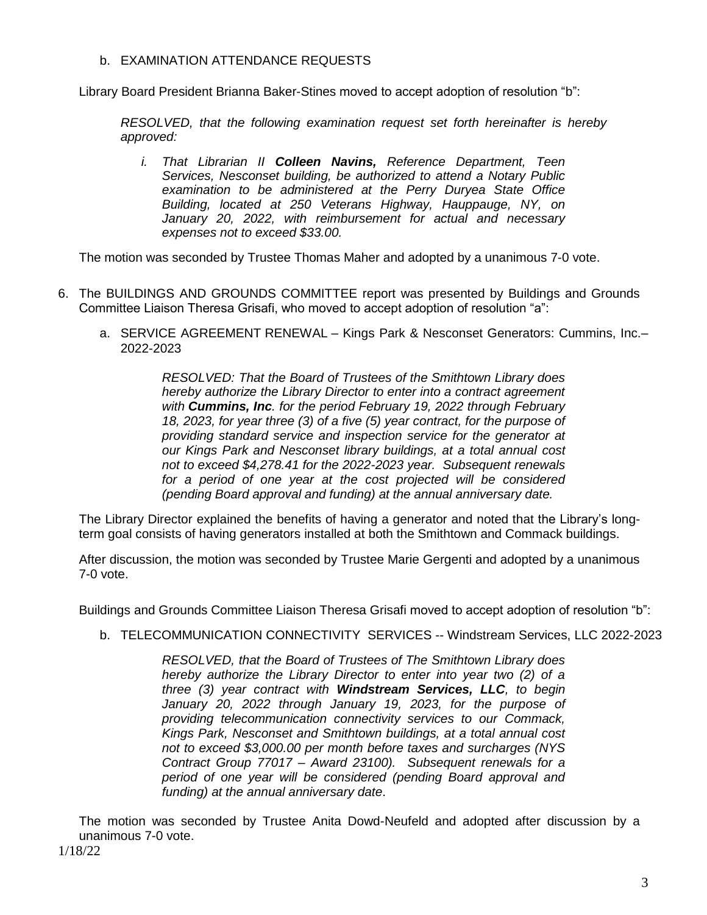## b. EXAMINATION ATTENDANCE REQUESTS

Library Board President Brianna Baker-Stines moved to accept adoption of resolution "b":

*RESOLVED, that the following examination request set forth hereinafter is hereby approved:*

*i. That Librarian II Colleen Navins, Reference Department, Teen Services, Nesconset building, be authorized to attend a Notary Public examination to be administered at the Perry Duryea State Office Building, located at 250 Veterans Highway, Hauppauge, NY, on January 20, 2022, with reimbursement for actual and necessary expenses not to exceed \$33.00.*

The motion was seconded by Trustee Thomas Maher and adopted by a unanimous 7-0 vote.

- 6. The BUILDINGS AND GROUNDS COMMITTEE report was presented by Buildings and Grounds Committee Liaison Theresa Grisafi, who moved to accept adoption of resolution "a":
	- a. SERVICE AGREEMENT RENEWAL Kings Park & Nesconset Generators: Cummins, Inc.– 2022-2023

*RESOLVED: That the Board of Trustees of the Smithtown Library does hereby authorize the Library Director to enter into a contract agreement with Cummins, Inc. for the period February 19, 2022 through February 18, 2023, for year three (3) of a five (5) year contract, for the purpose of providing standard service and inspection service for the generator at our Kings Park and Nesconset library buildings, at a total annual cost not to exceed \$4,278.41 for the 2022-2023 year. Subsequent renewals*  for a period of one year at the cost projected will be considered *(pending Board approval and funding) at the annual anniversary date.*

The Library Director explained the benefits of having a generator and noted that the Library's longterm goal consists of having generators installed at both the Smithtown and Commack buildings.

After discussion, the motion was seconded by Trustee Marie Gergenti and adopted by a unanimous 7-0 vote.

Buildings and Grounds Committee Liaison Theresa Grisafi moved to accept adoption of resolution "b":

b. TELECOMMUNICATION CONNECTIVITY SERVICES -- Windstream Services, LLC 2022-2023

*RESOLVED, that the Board of Trustees of The Smithtown Library does hereby authorize the Library Director to enter into year two (2) of a three (3) year contract with Windstream Services, LLC, to begin January 20, 2022 through January 19, 2023, for the purpose of providing telecommunication connectivity services to our Commack, Kings Park, Nesconset and Smithtown buildings, at a total annual cost not to exceed \$3,000.00 per month before taxes and surcharges (NYS Contract Group 77017 – Award 23100). Subsequent renewals for a period of one year will be considered (pending Board approval and funding) at the annual anniversary date*.

The motion was seconded by Trustee Anita Dowd-Neufeld and adopted after discussion by a unanimous 7-0 vote.

1/18/22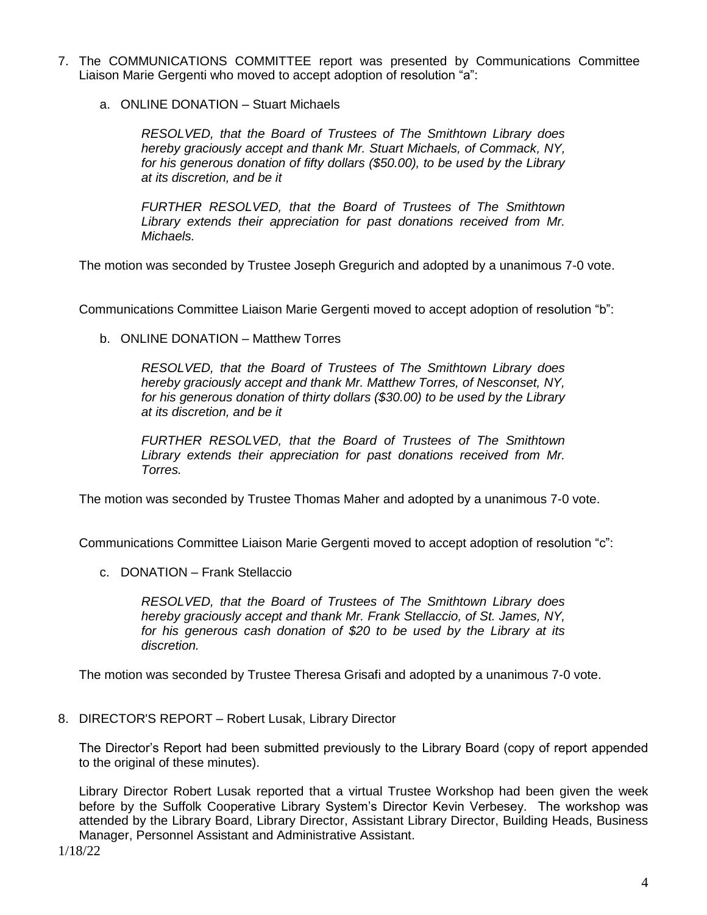- 7. The COMMUNICATIONS COMMITTEE report was presented by Communications Committee Liaison Marie Gergenti who moved to accept adoption of resolution "a":
	- a. ONLINE DONATION Stuart Michaels

*RESOLVED, that the Board of Trustees of The Smithtown Library does hereby graciously accept and thank Mr. Stuart Michaels, of Commack, NY, for his generous donation of fifty dollars (\$50.00), to be used by the Library at its discretion, and be it*

*FURTHER RESOLVED, that the Board of Trustees of The Smithtown Library extends their appreciation for past donations received from Mr. Michaels.*

The motion was seconded by Trustee Joseph Gregurich and adopted by a unanimous 7-0 vote.

Communications Committee Liaison Marie Gergenti moved to accept adoption of resolution "b":

b. ONLINE DONATION – Matthew Torres

*RESOLVED, that the Board of Trustees of The Smithtown Library does hereby graciously accept and thank Mr. Matthew Torres, of Nesconset, NY, for his generous donation of thirty dollars (\$30.00) to be used by the Library at its discretion, and be it*

*FURTHER RESOLVED, that the Board of Trustees of The Smithtown Library extends their appreciation for past donations received from Mr. Torres.*

The motion was seconded by Trustee Thomas Maher and adopted by a unanimous 7-0 vote.

Communications Committee Liaison Marie Gergenti moved to accept adoption of resolution "c":

c. DONATION – Frank Stellaccio

*RESOLVED, that the Board of Trustees of The Smithtown Library does hereby graciously accept and thank Mr. Frank Stellaccio, of St. James, NY, for his generous cash donation of \$20 to be used by the Library at its discretion.*

The motion was seconded by Trustee Theresa Grisafi and adopted by a unanimous 7-0 vote.

8. DIRECTOR'S REPORT – Robert Lusak, Library Director

The Director's Report had been submitted previously to the Library Board (copy of report appended to the original of these minutes).

Library Director Robert Lusak reported that a virtual Trustee Workshop had been given the week before by the Suffolk Cooperative Library System's Director Kevin Verbesey. The workshop was attended by the Library Board, Library Director, Assistant Library Director, Building Heads, Business Manager, Personnel Assistant and Administrative Assistant.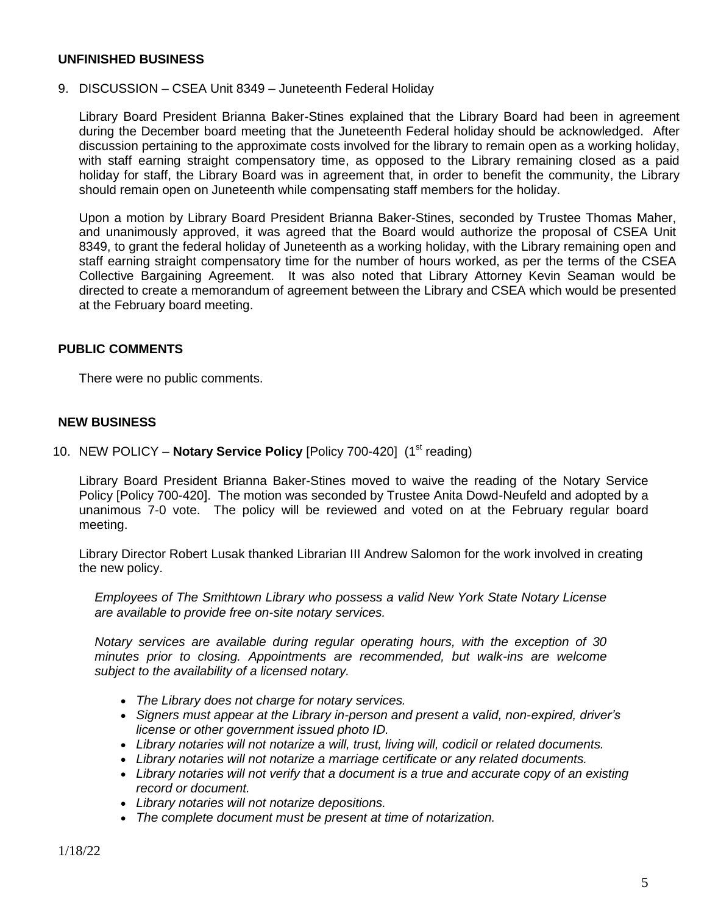## **UNFINISHED BUSINESS**

9. DISCUSSION – CSEA Unit 8349 – Juneteenth Federal Holiday

Library Board President Brianna Baker-Stines explained that the Library Board had been in agreement during the December board meeting that the Juneteenth Federal holiday should be acknowledged. After discussion pertaining to the approximate costs involved for the library to remain open as a working holiday, with staff earning straight compensatory time, as opposed to the Library remaining closed as a paid holiday for staff, the Library Board was in agreement that, in order to benefit the community, the Library should remain open on Juneteenth while compensating staff members for the holiday.

Upon a motion by Library Board President Brianna Baker-Stines, seconded by Trustee Thomas Maher, and unanimously approved, it was agreed that the Board would authorize the proposal of CSEA Unit 8349, to grant the federal holiday of Juneteenth as a working holiday, with the Library remaining open and staff earning straight compensatory time for the number of hours worked, as per the terms of the CSEA Collective Bargaining Agreement. It was also noted that Library Attorney Kevin Seaman would be directed to create a memorandum of agreement between the Library and CSEA which would be presented at the February board meeting.

## **PUBLIC COMMENTS**

There were no public comments.

#### **NEW BUSINESS**

10. NEW POLICY - Notary Service Policy [Policy 700-420] (1<sup>st</sup> reading)

Library Board President Brianna Baker-Stines moved to waive the reading of the Notary Service Policy [Policy 700-420]. The motion was seconded by Trustee Anita Dowd-Neufeld and adopted by a unanimous 7-0 vote. The policy will be reviewed and voted on at the February regular board meeting.

Library Director Robert Lusak thanked Librarian III Andrew Salomon for the work involved in creating the new policy.

*Employees of The Smithtown Library who possess a valid New York State Notary License are available to provide free on-site notary services.*

*Notary services are available during regular operating hours, with the exception of 30 minutes prior to closing. Appointments are recommended, but walk-ins are welcome subject to the availability of a licensed notary.*

- *The Library does not charge for notary services.*
- *Signers must appear at the Library in-person and present a valid, non-expired, driver's license or other government issued photo ID.*
- *Library notaries will not notarize a will, trust, living will, codicil or related documents.*
- *Library notaries will not notarize a marriage certificate or any related documents.*
- *Library notaries will not verify that a document is a true and accurate copy of an existing record or document.*
- *Library notaries will not notarize depositions.*
- *The complete document must be present at time of notarization.*